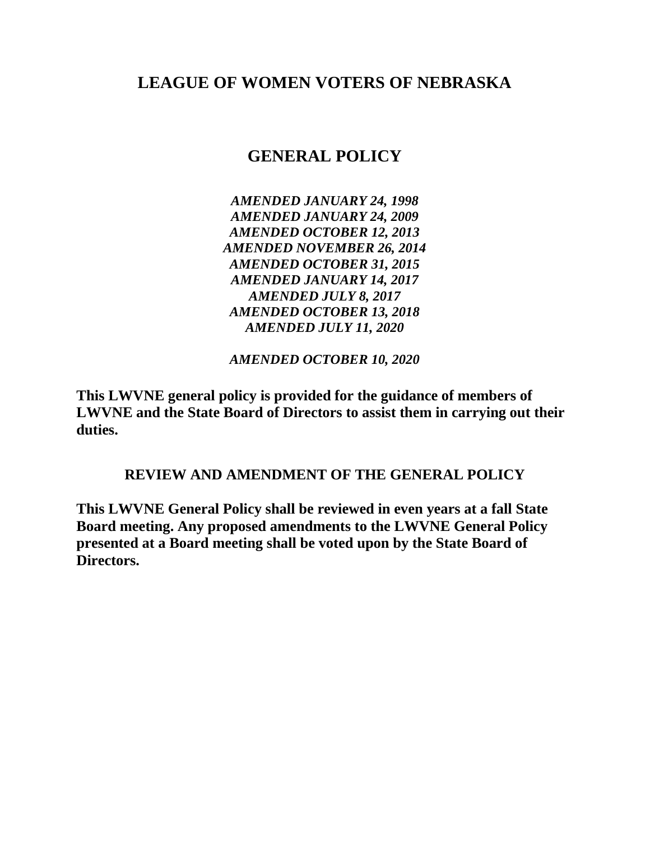# **LEAGUE OF WOMEN VOTERS OF NEBRASKA**

# **GENERAL POLICY**

*AMENDED JANUARY 24, 1998 AMENDED JANUARY 24, 2009 AMENDED OCTOBER 12, 2013 AMENDED NOVEMBER 26, 2014 AMENDED OCTOBER 31, 2015 AMENDED JANUARY 14, 2017 AMENDED JULY 8, 2017 AMENDED OCTOBER 13, 2018 AMENDED JULY 11, 2020*

*AMENDED OCTOBER 10, 2020*

**This LWVNE general policy is provided for the guidance of members of LWVNE and the State Board of Directors to assist them in carrying out their duties.**

## **REVIEW AND AMENDMENT OF THE GENERAL POLICY**

**This LWVNE General Policy shall be reviewed in even years at a fall State Board meeting. Any proposed amendments to the LWVNE General Policy presented at a Board meeting shall be voted upon by the State Board of Directors.**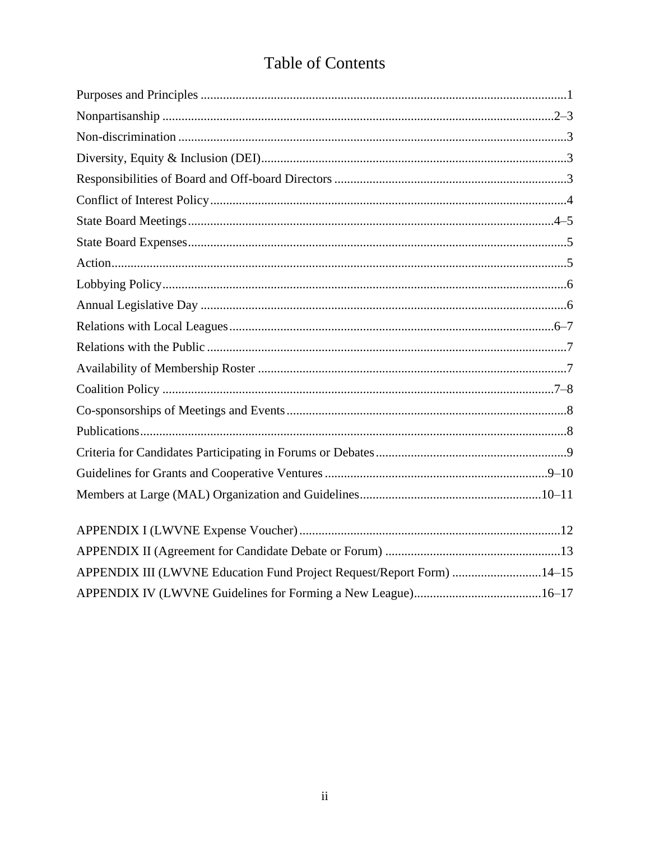# **Table of Contents**

| APPENDIX III (LWVNE Education Fund Project Request/Report Form) 14–15 |  |
|-----------------------------------------------------------------------|--|
|                                                                       |  |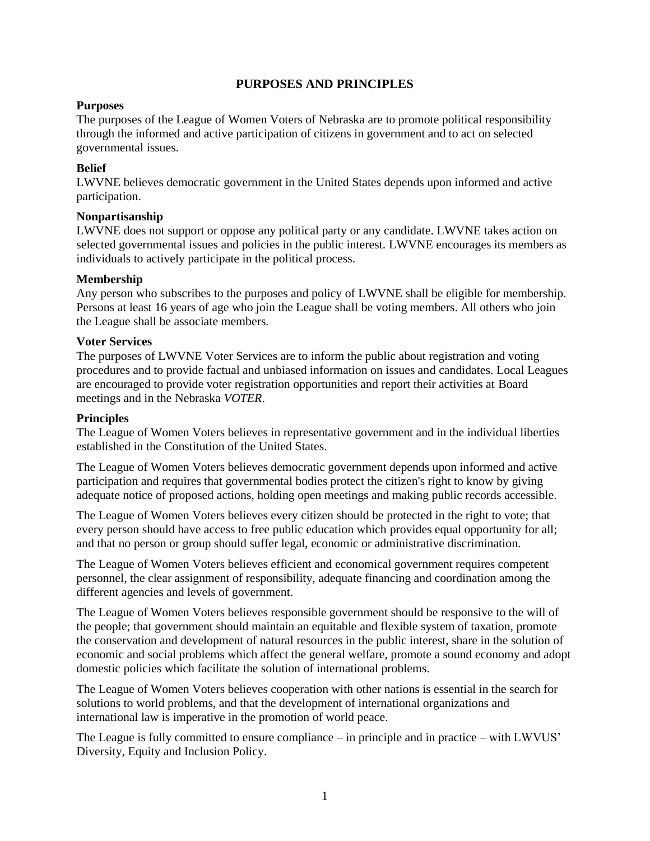## **PURPOSES AND PRINCIPLES**

#### **Purposes**

The purposes of the League of Women Voters of Nebraska are to promote political responsibility through the informed and active participation of citizens in government and to act on selected governmental issues.

#### **Belief**

LWVNE believes democratic government in the United States depends upon informed and active participation.

#### **Nonpartisanship**

LWVNE does not support or oppose any political party or any candidate. LWVNE takes action on selected governmental issues and policies in the public interest. LWVNE encourages its members as individuals to actively participate in the political process.

#### **Membership**

Any person who subscribes to the purposes and policy of LWVNE shall be eligible for membership. Persons at least 16 years of age who join the League shall be voting members. All others who join the League shall be associate members.

#### **Voter Services**

The purposes of LWVNE Voter Services are to inform the public about registration and voting procedures and to provide factual and unbiased information on issues and candidates. Local Leagues are encouraged to provide voter registration opportunities and report their activities at Board meetings and in the Nebraska *VOTER*.

#### **Principles**

The League of Women Voters believes in representative government and in the individual liberties established in the Constitution of the United States.

The League of Women Voters believes democratic government depends upon informed and active participation and requires that governmental bodies protect the citizen's right to know by giving adequate notice of proposed actions, holding open meetings and making public records accessible.

The League of Women Voters believes every citizen should be protected in the right to vote; that every person should have access to free public education which provides equal opportunity for all; and that no person or group should suffer legal, economic or administrative discrimination.

The League of Women Voters believes efficient and economical government requires competent personnel, the clear assignment of responsibility, adequate financing and coordination among the different agencies and levels of government.

The League of Women Voters believes responsible government should be responsive to the will of the people; that government should maintain an equitable and flexible system of taxation, promote the conservation and development of natural resources in the public interest, share in the solution of economic and social problems which affect the general welfare, promote a sound economy and adopt domestic policies which facilitate the solution of international problems.

The League of Women Voters believes cooperation with other nations is essential in the search for solutions to world problems, and that the development of international organizations and international law is imperative in the promotion of world peace.

The League is fully committed to ensure compliance – in principle and in practice – with LWVUS' Diversity, Equity and Inclusion Policy.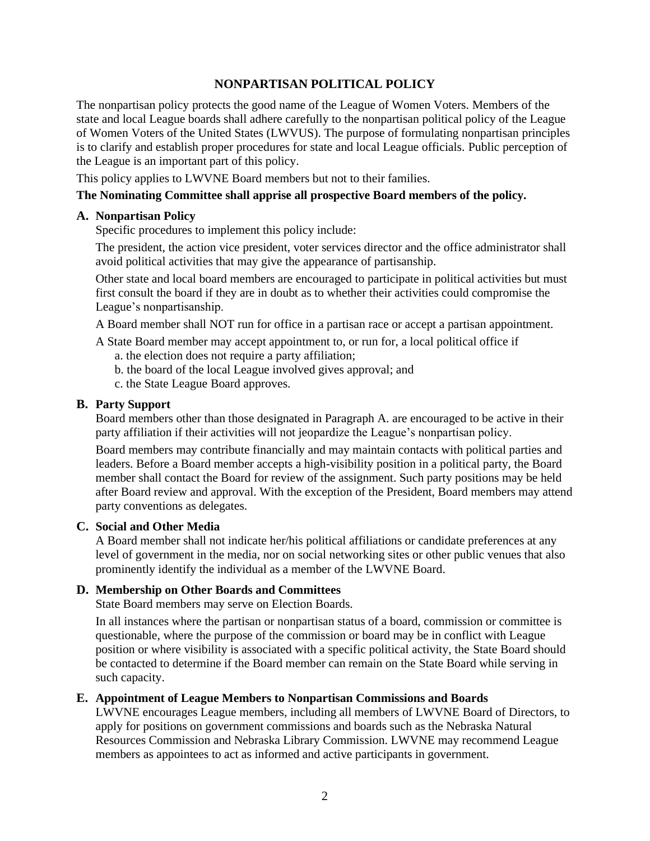## **NONPARTISAN POLITICAL POLICY**

The nonpartisan policy protects the good name of the League of Women Voters. Members of the state and local League boards shall adhere carefully to the nonpartisan political policy of the League of Women Voters of the United States (LWVUS). The purpose of formulating nonpartisan principles is to clarify and establish proper procedures for state and local League officials. Public perception of the League is an important part of this policy.

This policy applies to LWVNE Board members but not to their families.

#### **The Nominating Committee shall apprise all prospective Board members of the policy.**

#### **A. Nonpartisan Policy**

Specific procedures to implement this policy include:

The president, the action vice president, voter services director and the office administrator shall avoid political activities that may give the appearance of partisanship.

Other state and local board members are encouraged to participate in political activities but must first consult the board if they are in doubt as to whether their activities could compromise the League's nonpartisanship.

A Board member shall NOT run for office in a partisan race or accept a partisan appointment.

A State Board member may accept appointment to, or run for, a local political office if a. the election does not require a party affiliation;

- b. the board of the local League involved gives approval; and
- c. the State League Board approves.

#### **B. Party Support**

Board members other than those designated in Paragraph A. are encouraged to be active in their party affiliation if their activities will not jeopardize the League's nonpartisan policy.

Board members may contribute financially and may maintain contacts with political parties and leaders. Before a Board member accepts a high-visibility position in a political party, the Board member shall contact the Board for review of the assignment. Such party positions may be held after Board review and approval. With the exception of the President, Board members may attend party conventions as delegates.

#### **C. Social and Other Media**

A Board member shall not indicate her/his political affiliations or candidate preferences at any level of government in the media, nor on social networking sites or other public venues that also prominently identify the individual as a member of the LWVNE Board.

#### **D. Membership on Other Boards and Committees**

State Board members may serve on Election Boards.

In all instances where the partisan or nonpartisan status of a board, commission or committee is questionable, where the purpose of the commission or board may be in conflict with League position or where visibility is associated with a specific political activity, the State Board should be contacted to determine if the Board member can remain on the State Board while serving in such capacity.

#### **E. Appointment of League Members to Nonpartisan Commissions and Boards**

LWVNE encourages League members, including all members of LWVNE Board of Directors, to apply for positions on government commissions and boards such as the Nebraska Natural Resources Commission and Nebraska Library Commission. LWVNE may recommend League members as appointees to act as informed and active participants in government.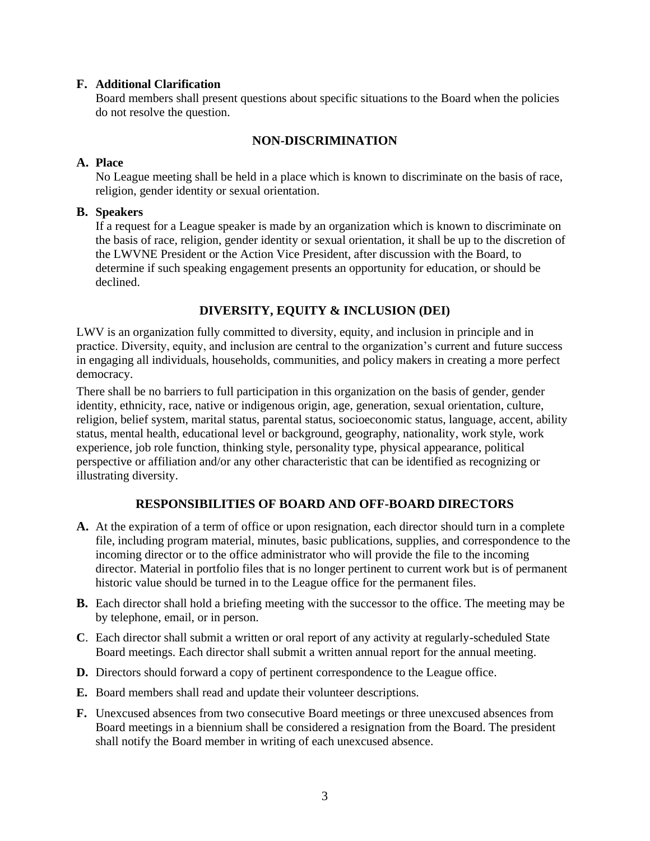#### **F. Additional Clarification**

Board members shall present questions about specific situations to the Board when the policies do not resolve the question.

## **NON-DISCRIMINATION**

### **A. Place**

No League meeting shall be held in a place which is known to discriminate on the basis of race, religion, gender identity or sexual orientation.

#### **B. Speakers**

If a request for a League speaker is made by an organization which is known to discriminate on the basis of race, religion, gender identity or sexual orientation, it shall be up to the discretion of the LWVNE President or the Action Vice President, after discussion with the Board, to determine if such speaking engagement presents an opportunity for education, or should be declined.

## **DIVERSITY, EQUITY & INCLUSION (DEI)**

LWV is an organization fully committed to diversity, equity, and inclusion in principle and in practice. Diversity, equity, and inclusion are central to the organization's current and future success in engaging all individuals, households, communities, and policy makers in creating a more perfect democracy.

There shall be no barriers to full participation in this organization on the basis of gender, gender identity, ethnicity, race, native or indigenous origin, age, generation, sexual orientation, culture, religion, belief system, marital status, parental status, socioeconomic status, language, accent, ability status, mental health, educational level or background, geography, nationality, work style, work experience, job role function, thinking style, personality type, physical appearance, political perspective or affiliation and/or any other characteristic that can be identified as recognizing or illustrating diversity.

#### **RESPONSIBILITIES OF BOARD AND OFF-BOARD DIRECTORS**

- **A.** At the expiration of a term of office or upon resignation, each director should turn in a complete file, including program material, minutes, basic publications, supplies, and correspondence to the incoming director or to the office administrator who will provide the file to the incoming director. Material in portfolio files that is no longer pertinent to current work but is of permanent historic value should be turned in to the League office for the permanent files.
- **B.** Each director shall hold a briefing meeting with the successor to the office. The meeting may be by telephone, email, or in person.
- **C**. Each director shall submit a written or oral report of any activity at regularly-scheduled State Board meetings. Each director shall submit a written annual report for the annual meeting.
- **D.** Directors should forward a copy of pertinent correspondence to the League office.
- **E.** Board members shall read and update their volunteer descriptions.
- **F.** Unexcused absences from two consecutive Board meetings or three unexcused absences from Board meetings in a biennium shall be considered a resignation from the Board. The president shall notify the Board member in writing of each unexcused absence.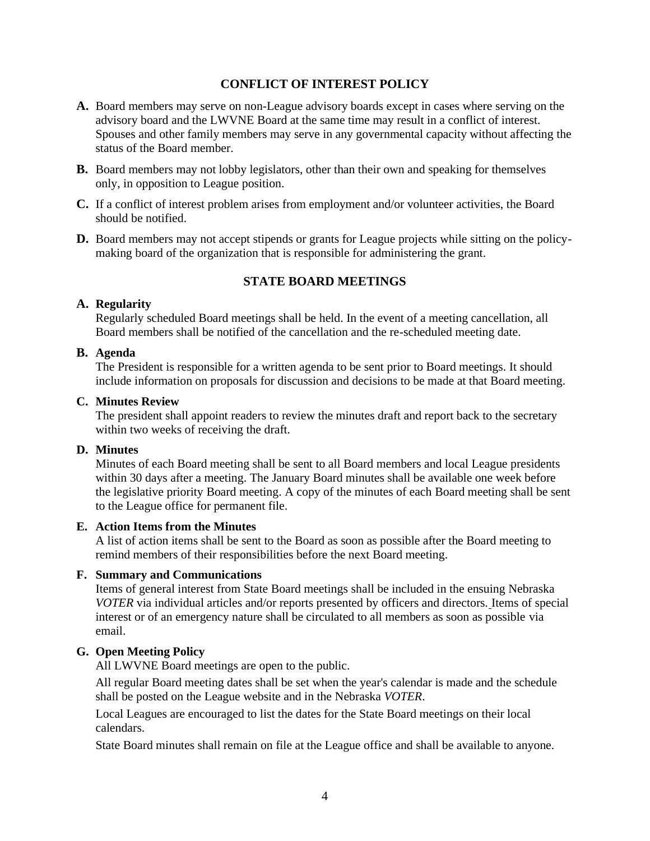## **CONFLICT OF INTEREST POLICY**

- **A.** Board members may serve on non-League advisory boards except in cases where serving on the advisory board and the LWVNE Board at the same time may result in a conflict of interest. Spouses and other family members may serve in any governmental capacity without affecting the status of the Board member.
- **B.** Board members may not lobby legislators, other than their own and speaking for themselves only, in opposition to League position.
- **C.** If a conflict of interest problem arises from employment and/or volunteer activities, the Board should be notified.
- **D.** Board members may not accept stipends or grants for League projects while sitting on the policymaking board of the organization that is responsible for administering the grant.

## **STATE BOARD MEETINGS**

#### **A. Regularity**

Regularly scheduled Board meetings shall be held. In the event of a meeting cancellation, all Board members shall be notified of the cancellation and the re-scheduled meeting date.

#### **B. Agenda**

The President is responsible for a written agenda to be sent prior to Board meetings. It should include information on proposals for discussion and decisions to be made at that Board meeting.

#### **C. Minutes Review**

The president shall appoint readers to review the minutes draft and report back to the secretary within two weeks of receiving the draft.

#### **D. Minutes**

Minutes of each Board meeting shall be sent to all Board members and local League presidents within 30 days after a meeting. The January Board minutes shall be available one week before the legislative priority Board meeting. A copy of the minutes of each Board meeting shall be sent to the League office for permanent file.

#### **E. Action Items from the Minutes**

A list of action items shall be sent to the Board as soon as possible after the Board meeting to remind members of their responsibilities before the next Board meeting.

#### **F. Summary and Communications**

Items of general interest from State Board meetings shall be included in the ensuing Nebraska *VOTER* via individual articles and/or reports presented by officers and directors. Items of special interest or of an emergency nature shall be circulated to all members as soon as possible via email.

### **G. Open Meeting Policy**

All LWVNE Board meetings are open to the public.

All regular Board meeting dates shall be set when the year's calendar is made and the schedule shall be posted on the League website and in the Nebraska *VOTER*.

Local Leagues are encouraged to list the dates for the State Board meetings on their local calendars.

State Board minutes shall remain on file at the League office and shall be available to anyone.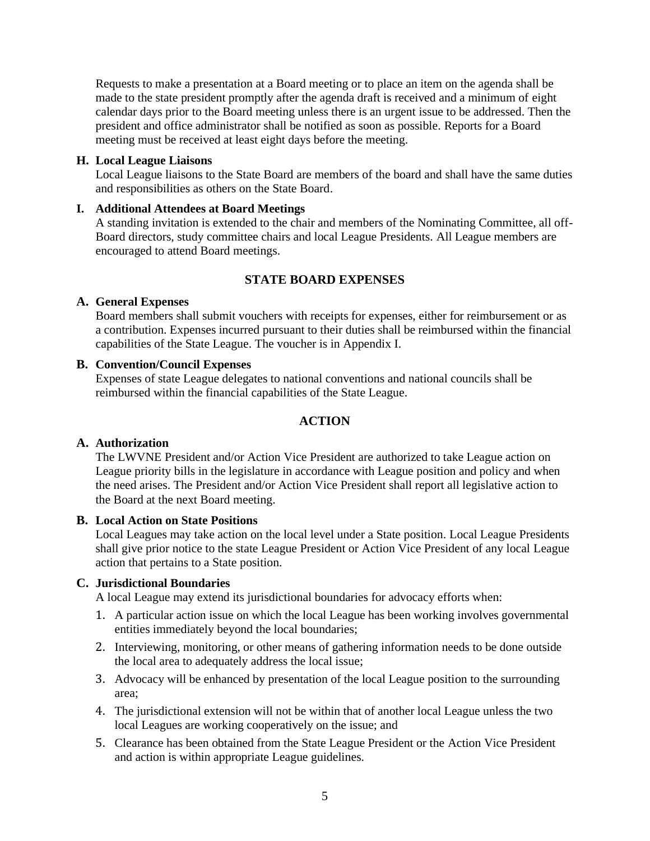Requests to make a presentation at a Board meeting or to place an item on the agenda shall be made to the state president promptly after the agenda draft is received and a minimum of eight calendar days prior to the Board meeting unless there is an urgent issue to be addressed. Then the president and office administrator shall be notified as soon as possible. Reports for a Board meeting must be received at least eight days before the meeting.

#### **H. Local League Liaisons**

Local League liaisons to the State Board are members of the board and shall have the same duties and responsibilities as others on the State Board.

#### **I. Additional Attendees at Board Meetings**

A standing invitation is extended to the chair and members of the Nominating Committee, all off-Board directors, study committee chairs and local League Presidents. All League members are encouraged to attend Board meetings.

## **STATE BOARD EXPENSES**

#### **A. General Expenses**

Board members shall submit vouchers with receipts for expenses, either for reimbursement or as a contribution. Expenses incurred pursuant to their duties shall be reimbursed within the financial capabilities of the State League. The voucher is in Appendix I.

## **B. Convention/Council Expenses**

Expenses of state League delegates to national conventions and national councils shall be reimbursed within the financial capabilities of the State League.

## **ACTION**

#### **A. Authorization**

The LWVNE President and/or Action Vice President are authorized to take League action on League priority bills in the legislature in accordance with League position and policy and when the need arises. The President and/or Action Vice President shall report all legislative action to the Board at the next Board meeting.

#### **B. Local Action on State Positions**

Local Leagues may take action on the local level under a State position. Local League Presidents shall give prior notice to the state League President or Action Vice President of any local League action that pertains to a State position.

## **C. Jurisdictional Boundaries**

A local League may extend its jurisdictional boundaries for advocacy efforts when:

- 1. A particular action issue on which the local League has been working involves governmental entities immediately beyond the local boundaries;
- 2. Interviewing, monitoring, or other means of gathering information needs to be done outside the local area to adequately address the local issue;
- 3. Advocacy will be enhanced by presentation of the local League position to the surrounding area;
- 4. The jurisdictional extension will not be within that of another local League unless the two local Leagues are working cooperatively on the issue; and
- 5. Clearance has been obtained from the State League President or the Action Vice President and action is within appropriate League guidelines.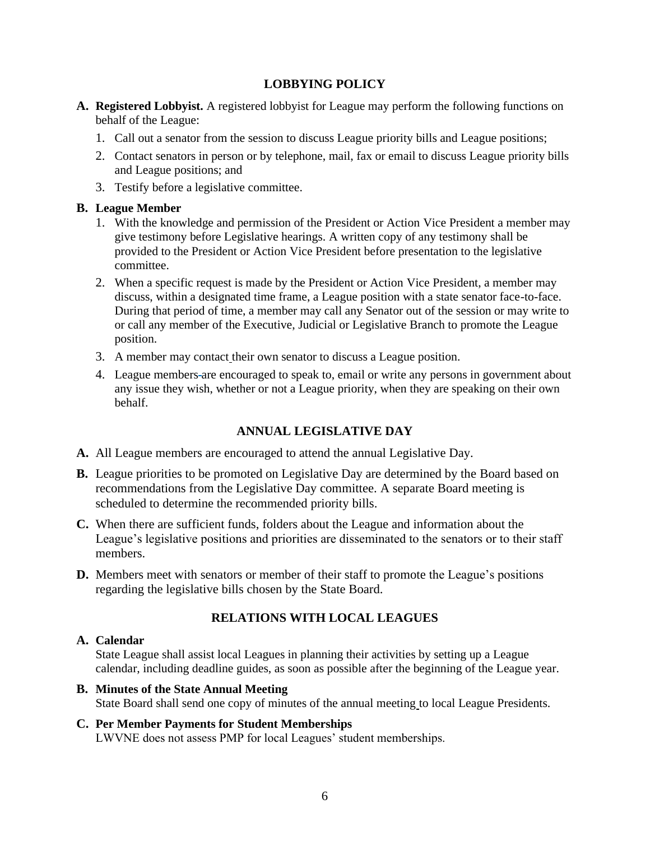## **LOBBYING POLICY**

- **A. Registered Lobbyist.** A registered lobbyist for League may perform the following functions on behalf of the League:
	- 1. Call out a senator from the session to discuss League priority bills and League positions;
	- 2. Contact senators in person or by telephone, mail, fax or email to discuss League priority bills and League positions; and
	- 3. Testify before a legislative committee.

## **B. League Member**

- 1. With the knowledge and permission of the President or Action Vice President a member may give testimony before Legislative hearings. A written copy of any testimony shall be provided to the President or Action Vice President before presentation to the legislative committee.
- 2. When a specific request is made by the President or Action Vice President, a member may discuss, within a designated time frame, a League position with a state senator face-to-face. During that period of time, a member may call any Senator out of the session or may write to or call any member of the Executive, Judicial or Legislative Branch to promote the League position.
- 3. A member may contact their own senator to discuss a League position.
- 4. League members are encouraged to speak to, email or write any persons in government about any issue they wish, whether or not a League priority, when they are speaking on their own behalf.

## **ANNUAL LEGISLATIVE DAY**

- **A.** All League members are encouraged to attend the annual Legislative Day.
- **B.** League priorities to be promoted on Legislative Day are determined by the Board based on recommendations from the Legislative Day committee. A separate Board meeting is scheduled to determine the recommended priority bills.
- **C.** When there are sufficient funds, folders about the League and information about the League's legislative positions and priorities are disseminated to the senators or to their staff members.
- **D.** Members meet with senators or member of their staff to promote the League's positions regarding the legislative bills chosen by the State Board.

## **RELATIONS WITH LOCAL LEAGUES**

## **A. Calendar**

State League shall assist local Leagues in planning their activities by setting up a League calendar, including deadline guides, as soon as possible after the beginning of the League year.

## **B. Minutes of the State Annual Meeting**

State Board shall send one copy of minutes of the annual meeting to local League Presidents.

#### **C. Per Member Payments for Student Memberships**

LWVNE does not assess PMP for local Leagues' student memberships.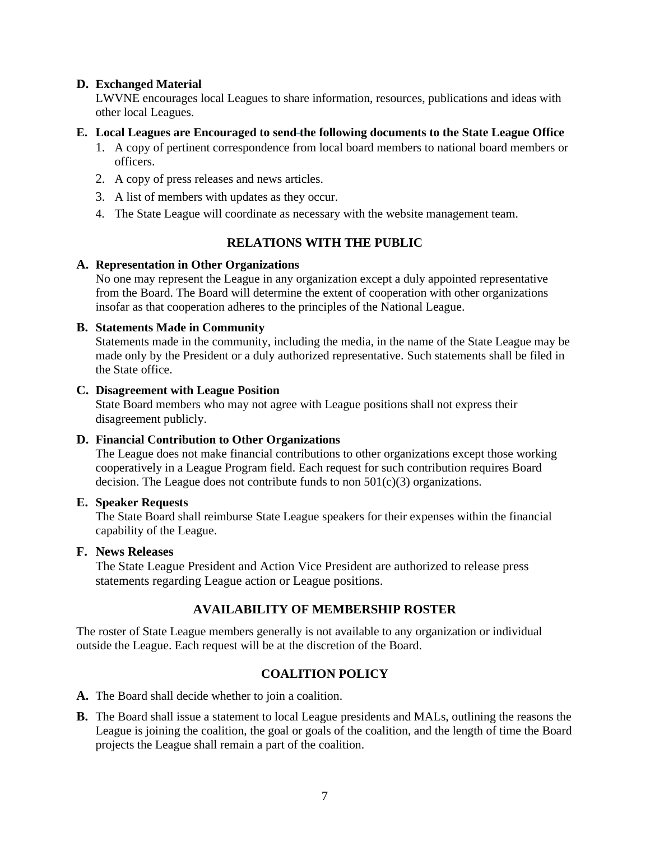#### **D. Exchanged Material**

LWVNE encourages local Leagues to share information, resources, publications and ideas with other local Leagues.

#### **E. Local Leagues are Encouraged to send the following documents to the State League Office**

- 1. A copy of pertinent correspondence from local board members to national board members or officers.
- 2. A copy of press releases and news articles.
- 3. A list of members with updates as they occur.
- 4. The State League will coordinate as necessary with the website management team.

## **RELATIONS WITH THE PUBLIC**

#### **A. Representation in Other Organizations**

No one may represent the League in any organization except a duly appointed representative from the Board. The Board will determine the extent of cooperation with other organizations insofar as that cooperation adheres to the principles of the National League.

#### **B. Statements Made in Community**

Statements made in the community, including the media, in the name of the State League may be made only by the President or a duly authorized representative. Such statements shall be filed in the State office.

#### **C. Disagreement with League Position**

State Board members who may not agree with League positions shall not express their disagreement publicly.

#### **D. Financial Contribution to Other Organizations**

The League does not make financial contributions to other organizations except those working cooperatively in a League Program field. Each request for such contribution requires Board decision. The League does not contribute funds to non  $501(c)(3)$  organizations.

#### **E. Speaker Requests**

The State Board shall reimburse State League speakers for their expenses within the financial capability of the League.

#### **F. News Releases**

The State League President and Action Vice President are authorized to release press statements regarding League action or League positions.

#### **AVAILABILITY OF MEMBERSHIP ROSTER**

The roster of State League members generally is not available to any organization or individual outside the League. Each request will be at the discretion of the Board.

## **COALITION POLICY**

**A.** The Board shall decide whether to join a coalition.

**B.** The Board shall issue a statement to local League presidents and MALs, outlining the reasons the League is joining the coalition, the goal or goals of the coalition, and the length of time the Board projects the League shall remain a part of the coalition.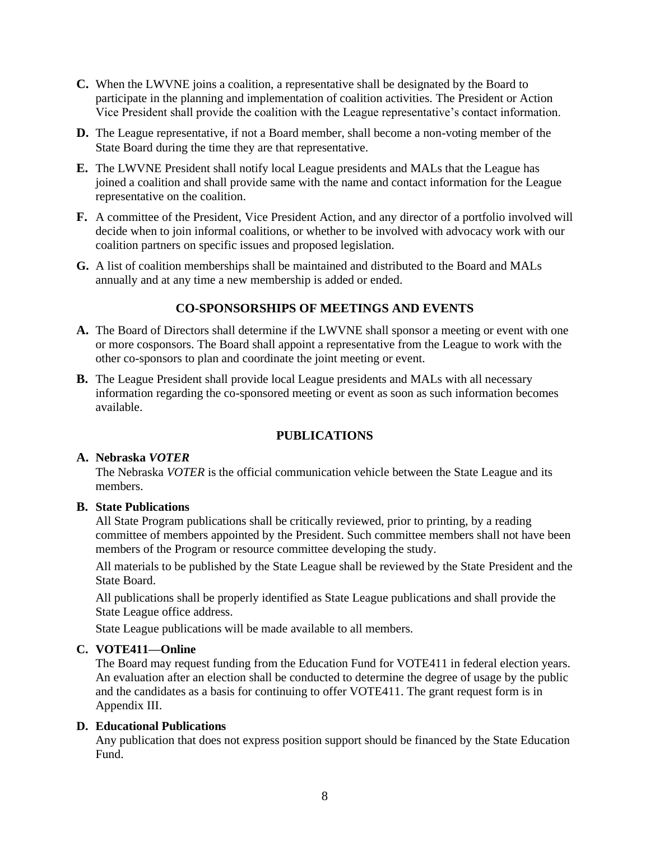- **C.** When the LWVNE joins a coalition, a representative shall be designated by the Board to participate in the planning and implementation of coalition activities. The President or Action Vice President shall provide the coalition with the League representative's contact information.
- **D.** The League representative, if not a Board member, shall become a non-voting member of the State Board during the time they are that representative.
- **E.** The LWVNE President shall notify local League presidents and MALs that the League has joined a coalition and shall provide same with the name and contact information for the League representative on the coalition.
- **F.** A committee of the President, Vice President Action, and any director of a portfolio involved will decide when to join informal coalitions, or whether to be involved with advocacy work with our coalition partners on specific issues and proposed legislation.
- **G.** A list of coalition memberships shall be maintained and distributed to the Board and MALs annually and at any time a new membership is added or ended.

## **CO-SPONSORSHIPS OF MEETINGS AND EVENTS**

- **A.** The Board of Directors shall determine if the LWVNE shall sponsor a meeting or event with one or more cosponsors. The Board shall appoint a representative from the League to work with the other co-sponsors to plan and coordinate the joint meeting or event.
- **B.** The League President shall provide local League presidents and MALs with all necessary information regarding the co-sponsored meeting or event as soon as such information becomes available.

#### **PUBLICATIONS**

#### **A. Nebraska** *VOTER*

The Nebraska *VOTER* is the official communication vehicle between the State League and its members.

#### **B. State Publications**

All State Program publications shall be critically reviewed, prior to printing, by a reading committee of members appointed by the President. Such committee members shall not have been members of the Program or resource committee developing the study.

All materials to be published by the State League shall be reviewed by the State President and the State Board.

All publications shall be properly identified as State League publications and shall provide the State League office address.

State League publications will be made available to all members.

#### **C. VOTE411—Online**

The Board may request funding from the Education Fund for VOTE411 in federal election years. An evaluation after an election shall be conducted to determine the degree of usage by the public and the candidates as a basis for continuing to offer VOTE411. The grant request form is in Appendix III.

#### **D. Educational Publications**

Any publication that does not express position support should be financed by the State Education Fund.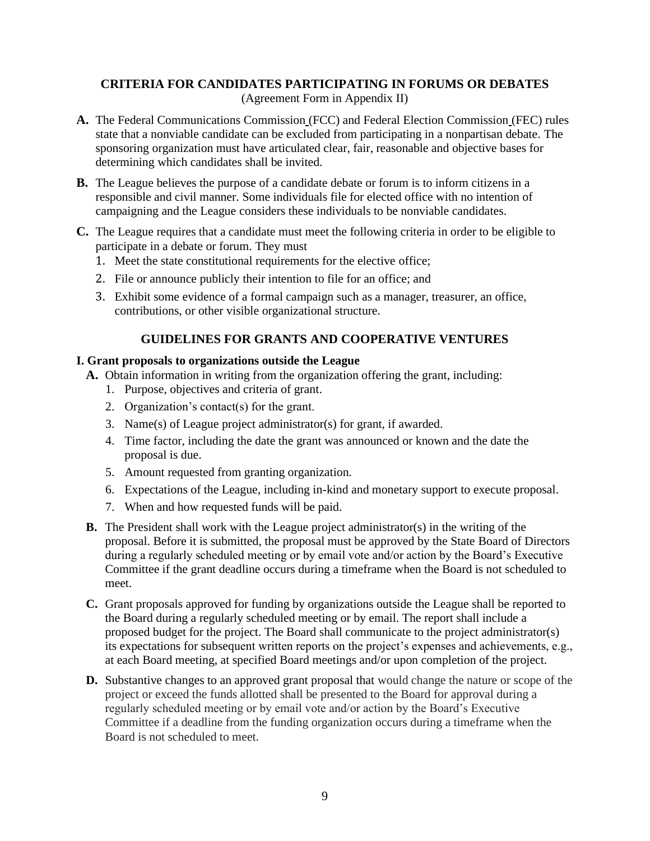## **CRITERIA FOR CANDIDATES PARTICIPATING IN FORUMS OR DEBATES**

(Agreement Form in Appendix II)

- **A.** The Federal Communications Commission (FCC) and Federal Election Commission (FEC) rules state that a nonviable candidate can be excluded from participating in a nonpartisan debate. The sponsoring organization must have articulated clear, fair, reasonable and objective bases for determining which candidates shall be invited.
- **B.** The League believes the purpose of a candidate debate or forum is to inform citizens in a responsible and civil manner. Some individuals file for elected office with no intention of campaigning and the League considers these individuals to be nonviable candidates.
- **C.** The League requires that a candidate must meet the following criteria in order to be eligible to participate in a debate or forum. They must
	- 1. Meet the state constitutional requirements for the elective office;
	- 2. File or announce publicly their intention to file for an office; and
	- 3. Exhibit some evidence of a formal campaign such as a manager, treasurer, an office, contributions, or other visible organizational structure.

## **GUIDELINES FOR GRANTS AND COOPERATIVE VENTURES**

#### **I. Grant proposals to organizations outside the League**

- **A.** Obtain information in writing from the organization offering the grant, including:
	- 1. Purpose, objectives and criteria of grant.
	- 2. Organization's contact(s) for the grant.
	- 3. Name(s) of League project administrator(s) for grant, if awarded.
	- 4. Time factor, including the date the grant was announced or known and the date the proposal is due.
	- 5. Amount requested from granting organization.
	- 6. Expectations of the League, including in-kind and monetary support to execute proposal.
	- 7. When and how requested funds will be paid.
- **B.** The President shall work with the League project administrator(s) in the writing of the proposal. Before it is submitted, the proposal must be approved by the State Board of Directors during a regularly scheduled meeting or by email vote and/or action by the Board's Executive Committee if the grant deadline occurs during a timeframe when the Board is not scheduled to meet.
- **C.** Grant proposals approved for funding by organizations outside the League shall be reported to the Board during a regularly scheduled meeting or by email. The report shall include a proposed budget for the project. The Board shall communicate to the project administrator(s) its expectations for subsequent written reports on the project's expenses and achievements, e.g., at each Board meeting, at specified Board meetings and/or upon completion of the project.
- **D.** Substantive changes to an approved grant proposal that would change the nature or scope of the project or exceed the funds allotted shall be presented to the Board for approval during a regularly scheduled meeting or by email vote and/or action by the Board's Executive Committee if a deadline from the funding organization occurs during a timeframe when the Board is not scheduled to meet.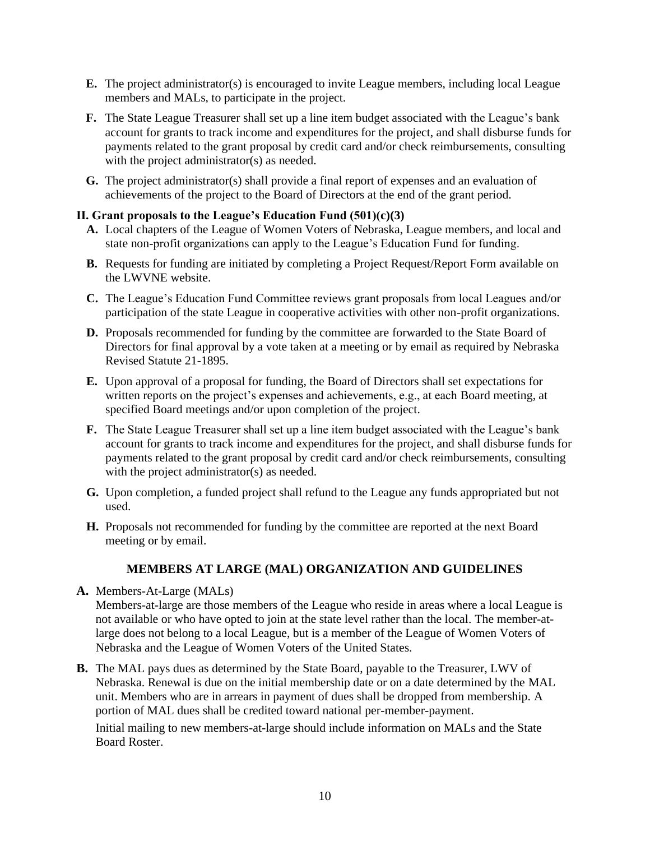- **E.** The project administrator(s) is encouraged to invite League members, including local League members and MALs, to participate in the project.
- **F.** The State League Treasurer shall set up a line item budget associated with the League's bank account for grants to track income and expenditures for the project, and shall disburse funds for payments related to the grant proposal by credit card and/or check reimbursements, consulting with the project administrator(s) as needed.
- **G.** The project administrator(s) shall provide a final report of expenses and an evaluation of achievements of the project to the Board of Directors at the end of the grant period.

## **II. Grant proposals to the League's Education Fund (501)(c)(3)**

- **A.** Local chapters of the League of Women Voters of Nebraska, League members, and local and state non-profit organizations can apply to the League's Education Fund for funding.
- **B.** Requests for funding are initiated by completing a Project Request/Report Form available on the LWVNE website.
- **C.** The League's Education Fund Committee reviews grant proposals from local Leagues and/or participation of the state League in cooperative activities with other non-profit organizations.
- **D.** Proposals recommended for funding by the committee are forwarded to the State Board of Directors for final approval by a vote taken at a meeting or by email as required by Nebraska Revised Statute 21-1895.
- **E.** Upon approval of a proposal for funding, the Board of Directors shall set expectations for written reports on the project's expenses and achievements, e.g., at each Board meeting, at specified Board meetings and/or upon completion of the project.
- **F.** The State League Treasurer shall set up a line item budget associated with the League's bank account for grants to track income and expenditures for the project, and shall disburse funds for payments related to the grant proposal by credit card and/or check reimbursements, consulting with the project administrator(s) as needed.
- **G.** Upon completion, a funded project shall refund to the League any funds appropriated but not used.
- **H.** Proposals not recommended for funding by the committee are reported at the next Board meeting or by email.

## **MEMBERS AT LARGE (MAL) ORGANIZATION AND GUIDELINES**

- **A.** Members-At-Large (MALs) Members-at-large are those members of the League who reside in areas where a local League is not available or who have opted to join at the state level rather than the local. The member-atlarge does not belong to a local League, but is a member of the League of Women Voters of Nebraska and the League of Women Voters of the United States.
- **B.** The MAL pays dues as determined by the State Board, payable to the Treasurer, LWV of Nebraska. Renewal is due on the initial membership date or on a date determined by the MAL unit. Members who are in arrears in payment of dues shall be dropped from membership. A portion of MAL dues shall be credited toward national per-member-payment.

Initial mailing to new members-at-large should include information on MALs and the State Board Roster.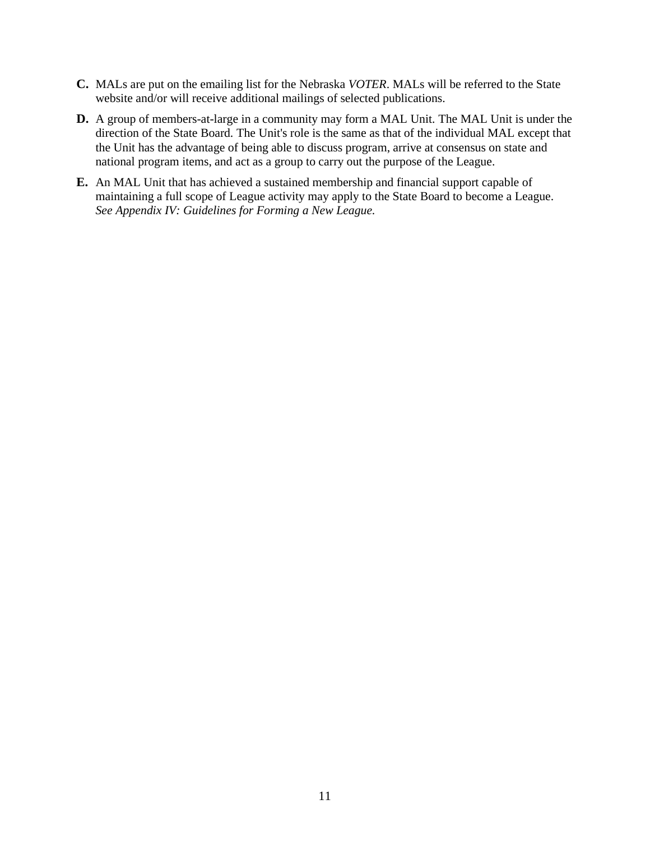- **C.** MALs are put on the emailing list for the Nebraska *VOTER*. MALs will be referred to the State website and/or will receive additional mailings of selected publications.
- **D.** A group of members-at-large in a community may form a MAL Unit. The MAL Unit is under the direction of the State Board. The Unit's role is the same as that of the individual MAL except that the Unit has the advantage of being able to discuss program, arrive at consensus on state and national program items, and act as a group to carry out the purpose of the League.
- **E.** An MAL Unit that has achieved a sustained membership and financial support capable of maintaining a full scope of League activity may apply to the State Board to become a League. *See Appendix IV: Guidelines for Forming a New League.*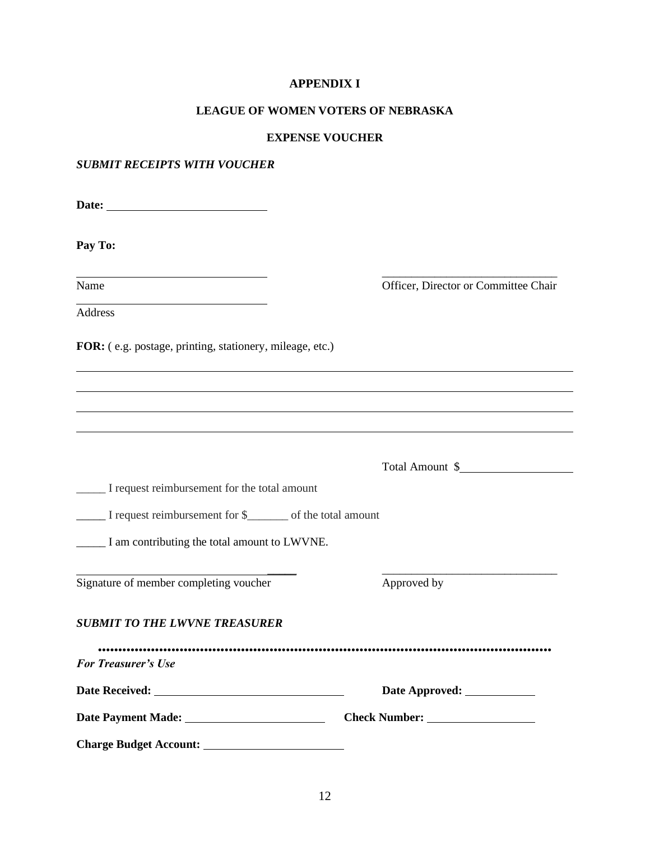#### **APPENDIX I**

#### **LEAGUE OF WOMEN VOTERS OF NEBRASKA**

#### **EXPENSE VOUCHER**

## *SUBMIT RECEIPTS WITH VOUCHER*

**Date:** 

**Pay To:**

<u> 1989 - Johann Barnett, fransk politik (d. 1989)</u>

\_\_\_\_\_\_\_\_\_\_\_\_\_\_\_\_\_\_\_\_\_\_\_\_\_\_\_\_\_\_ Name Officer, Director or Committee Chair

Address

**FOR:** ( e.g. postage, printing, stationery, mileage, etc.)

|                                              | Total Amount \$ |
|----------------------------------------------|-----------------|
| I request reimbursement for the total amount |                 |
| I request reimbursement for \$               |                 |
| I am contributing the total amount to LWVNE. |                 |
| Signature of member completing voucher       | Approved by     |
| <b>SUBMIT TO THE LWVNE TREASURER</b>         |                 |
| <b>For Treasurer's Use</b>                   |                 |
|                                              |                 |
|                                              | Check Number:   |
| <b>Charge Budget Account:</b>                |                 |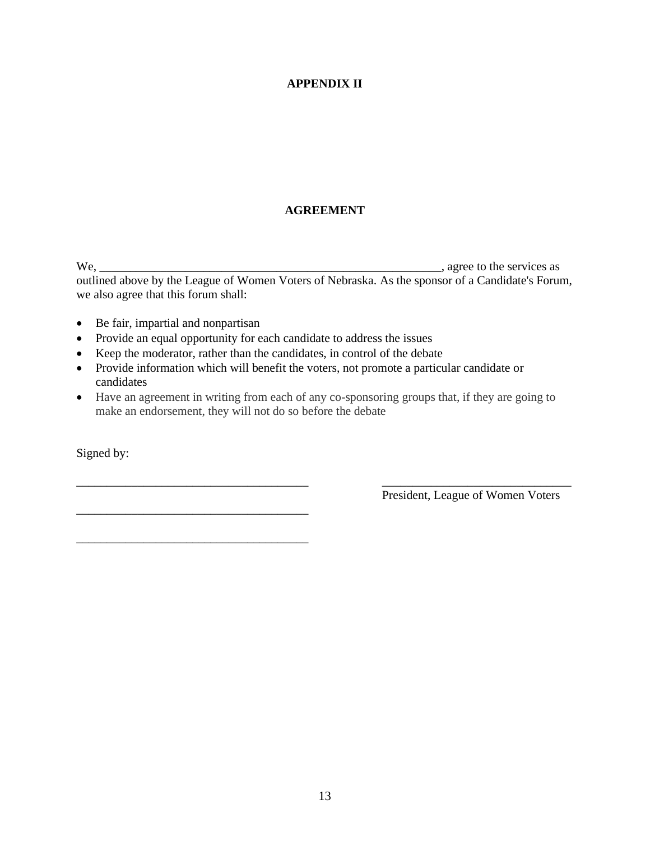## **APPENDIX II**

## **AGREEMENT**

We, \_\_\_\_\_\_\_\_\_\_\_\_\_\_\_\_\_\_\_\_\_\_\_\_\_\_\_\_\_\_\_\_\_\_\_\_\_\_\_\_\_\_\_\_\_\_\_\_\_\_\_\_\_\_\_\_, agree to the services as outlined above by the League of Women Voters of Nebraska. As the sponsor of a Candidate's Forum, we also agree that this forum shall:

• Be fair, impartial and nonpartisan

\_\_\_\_\_\_\_\_\_\_\_\_\_\_\_\_\_\_\_\_\_\_\_\_\_\_\_\_\_\_\_\_\_\_\_\_\_\_

\_\_\_\_\_\_\_\_\_\_\_\_\_\_\_\_\_\_\_\_\_\_\_\_\_\_\_\_\_\_\_\_\_\_\_\_\_\_

- Provide an equal opportunity for each candidate to address the issues
- Keep the moderator, rather than the candidates, in control of the debate
- Provide information which will benefit the voters, not promote a particular candidate or candidates
- Have an agreement in writing from each of any co-sponsoring groups that, if they are going to make an endorsement, they will not do so before the debate

\_\_\_\_\_\_\_\_\_\_\_\_\_\_\_\_\_\_\_\_\_\_\_\_\_\_\_\_\_\_\_\_\_\_\_\_\_\_ \_\_\_\_\_\_\_\_\_\_\_\_\_\_\_\_\_\_\_\_\_\_\_\_\_\_\_\_\_\_\_

Signed by:

President, League of Women Voters

13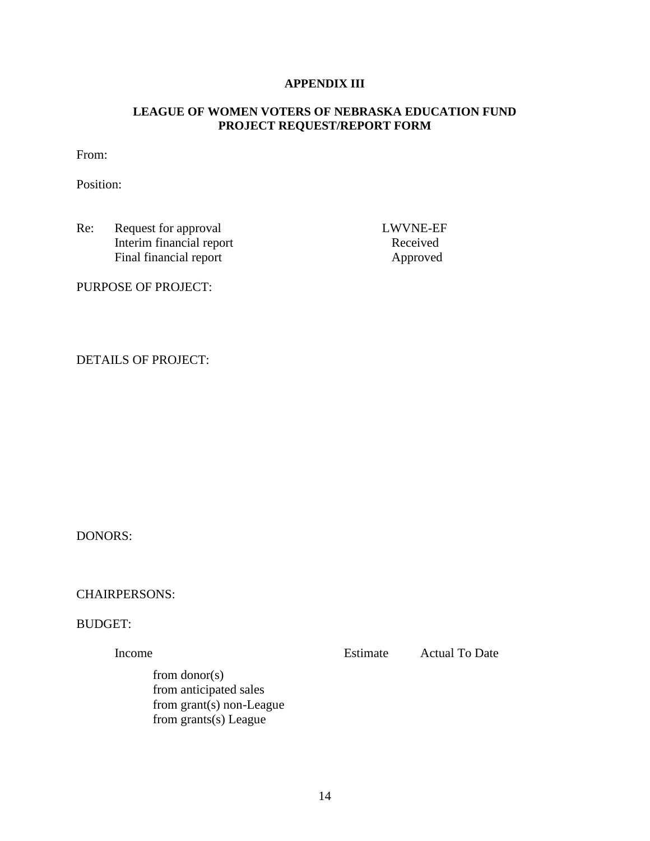## **APPENDIX III**

## **LEAGUE OF WOMEN VOTERS OF NEBRASKA EDUCATION FUND PROJECT REQUEST/REPORT FORM**

From:

Position:

Re: Request for approval LWVNE-EF Interim financial report Received Final financial report Approved

PURPOSE OF PROJECT:

DETAILS OF PROJECT:

DONORS:

CHAIRPERSONS:

BUDGET:

Income Estimate Actual To Date from donor(s) from anticipated sales from grant(s) non-League

from grants(s) League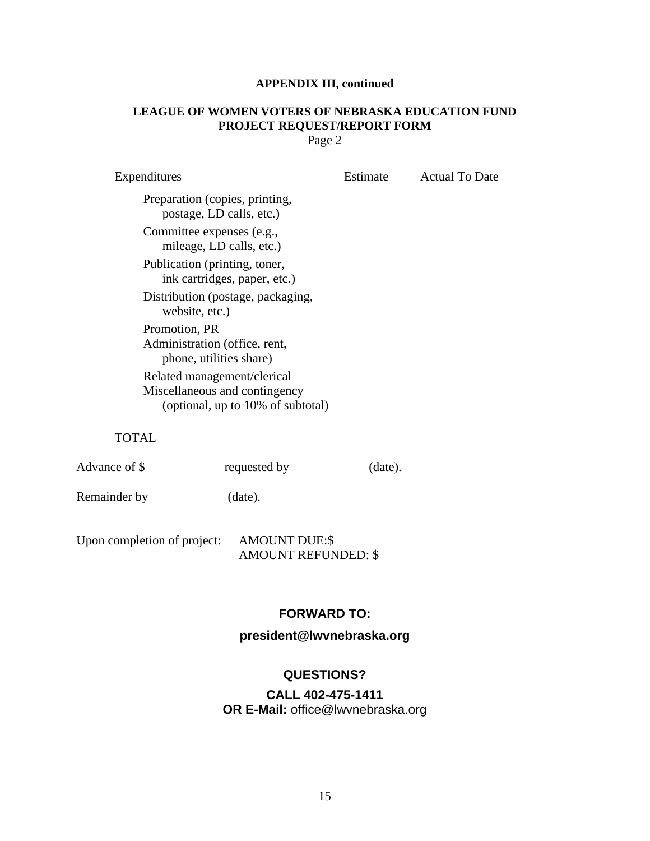## **APPENDIX III, continued**

# **LEAGUE OF WOMEN VOTERS OF NEBRASKA EDUCATION FUND PROJECT REQUEST/REPORT FORM**

Page 2

| Expenditures                                                                                      | Estimate | <b>Actual To Date</b> |
|---------------------------------------------------------------------------------------------------|----------|-----------------------|
| Preparation (copies, printing,<br>postage, LD calls, etc.)                                        |          |                       |
| Committee expenses (e.g.,<br>mileage, LD calls, etc.)                                             |          |                       |
| Publication (printing, toner,<br>ink cartridges, paper, etc.)                                     |          |                       |
| Distribution (postage, packaging,<br>website, etc.)                                               |          |                       |
| Promotion, PR<br>Administration (office, rent,<br>phone, utilities share)                         |          |                       |
| Related management/clerical<br>Miscellaneous and contingency<br>(optional, up to 10% of subtotal) |          |                       |

TOTAL

Advance of \$ requested by (date).

Remainder by (date).

Upon completion of project: AMOUNT DUE:\$ AMOUNT REFUNDED: \$

## **FORWARD TO:**

**president@lwvnebraska.org**

## **QUESTIONS?**

## **CALL 402-475-1411 OR E-Mail:** [office@lwvnebraska.org](mailto:office@lwvnebraska.org)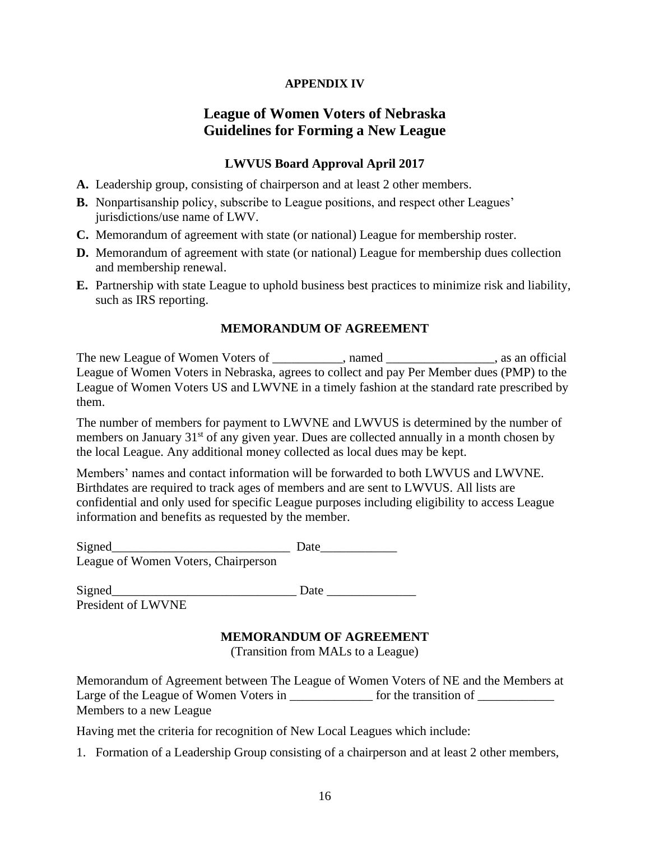## **APPENDIX IV**

# **League of Women Voters of Nebraska Guidelines for Forming a New League**

## **LWVUS Board Approval April 2017**

- **A.** Leadership group, consisting of chairperson and at least 2 other members.
- **B.** Nonpartisanship policy, subscribe to League positions, and respect other Leagues' jurisdictions/use name of LWV.
- **C.** Memorandum of agreement with state (or national) League for membership roster.
- **D.** Memorandum of agreement with state (or national) League for membership dues collection and membership renewal.
- **E.** Partnership with state League to uphold business best practices to minimize risk and liability, such as IRS reporting.

#### **MEMORANDUM OF AGREEMENT**

The new League of Women Voters of \_\_\_\_\_\_\_\_\_\_, named \_\_\_\_\_\_\_\_\_\_\_\_\_\_, as an official League of Women Voters in Nebraska, agrees to collect and pay Per Member dues (PMP) to the League of Women Voters US and LWVNE in a timely fashion at the standard rate prescribed by them.

The number of members for payment to LWVNE and LWVUS is determined by the number of members on January 31<sup>st</sup> of any given year. Dues are collected annually in a month chosen by the local League. Any additional money collected as local dues may be kept.

Members' names and contact information will be forwarded to both LWVUS and LWVNE. Birthdates are required to track ages of members and are sent to LWVUS. All lists are confidential and only used for specific League purposes including eligibility to access League information and benefits as requested by the member.

| Signed                                                            | Date |
|-------------------------------------------------------------------|------|
| $\mathbf{L}$ cannot $\mathbf{W}$ and $\mathbf{V}$ at $\mathbf{L}$ |      |

| Signed                 |           |  |
|------------------------|-----------|--|
| <b>STATISTICS</b><br>. | _________ |  |

President of LWVNE

## **MEMORANDUM OF AGREEMENT**

(Transition from MALs to a League)

Memorandum of Agreement between The League of Women Voters of NE and the Members at Large of the League of Women Voters in \_\_\_\_\_\_\_\_\_\_\_\_\_\_ for the transition of \_\_\_\_\_\_\_\_\_\_\_ Members to a new League

Having met the criteria for recognition of New Local Leagues which include:

1. Formation of a Leadership Group consisting of a chairperson and at least 2 other members,